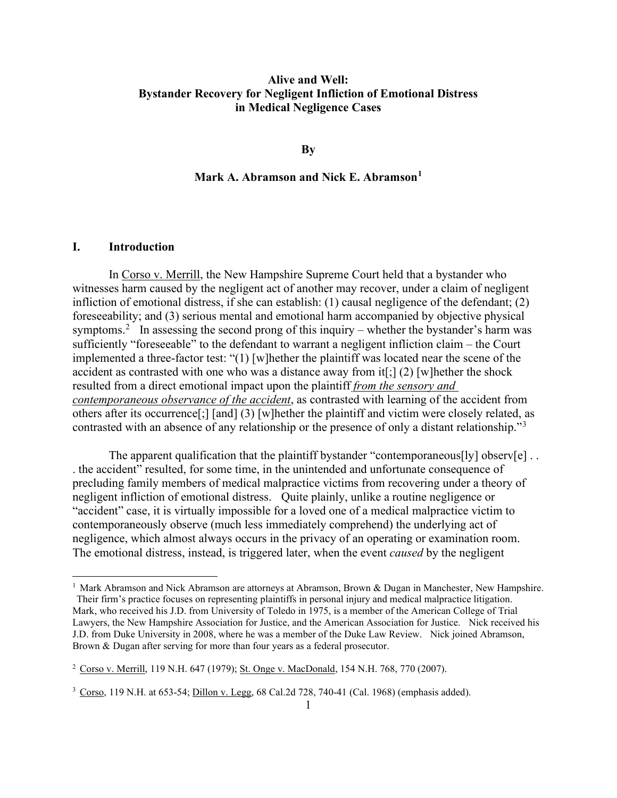# **Alive and Well: Bystander Recovery for Negligent Infliction of Emotional Distress in Medical Negligence Cases**

**By**

### **Mark A. Abramson and Nick E. Abramson[1](#page-0-0)**

#### **I. Introduction**

In Corso v. Merrill, the New Hampshire Supreme Court held that a bystander who witnesses harm caused by the negligent act of another may recover, under a claim of negligent infliction of emotional distress, if she can establish: (1) causal negligence of the defendant; (2) foreseeability; and (3) serious mental and emotional harm accompanied by objective physical symptoms.<sup>[2](#page-0-1)</sup> In assessing the second prong of this inquiry – whether the bystander's harm was sufficiently "foreseeable" to the defendant to warrant a negligent infliction claim – the Court implemented a three-factor test: "(1) [w]hether the plaintiff was located near the scene of the accident as contrasted with one who was a distance away from it[;] (2) [w]hether the shock resulted from a direct emotional impact upon the plaintiff *from the sensory and contemporaneous observance of the accident*, as contrasted with learning of the accident from others after its occurrence[;] [and] (3) [w]hether the plaintiff and victim were closely related, as contrasted with an absence of any relationship or the presence of only a distant relationship."<sup>[3](#page-0-2)</sup>

The apparent qualification that the plaintiff bystander "contemporaneous[ly] observ[e] ... . the accident" resulted, for some time, in the unintended and unfortunate consequence of precluding family members of medical malpractice victims from recovering under a theory of negligent infliction of emotional distress. Quite plainly, unlike a routine negligence or "accident" case, it is virtually impossible for a loved one of a medical malpractice victim to contemporaneously observe (much less immediately comprehend) the underlying act of negligence, which almost always occurs in the privacy of an operating or examination room. The emotional distress, instead, is triggered later, when the event *caused* by the negligent

<span id="page-0-0"></span><sup>&</sup>lt;sup>1</sup> Mark Abramson and Nick Abramson are attorneys at Abramson, Brown & Dugan in Manchester, New Hampshire. Their firm's practice focuses on representing plaintiffs in personal injury and medical malpractice litigation. Mark, who received his J.D. from University of Toledo in 1975, is a member of the American College of Trial Lawyers, the New Hampshire Association for Justice, and the American Association for Justice. Nick received his J.D. from Duke University in 2008, where he was a member of the Duke Law Review. Nick joined Abramson, Brown & Dugan after serving for more than four years as a federal prosecutor.

<span id="page-0-1"></span><sup>2</sup> Corso v. Merrill, 119 N.H. 647 (1979); St. Onge v. MacDonald, 154 N.H. 768, 770 (2007).

<span id="page-0-2"></span> $3 \text{ Cors}$ , 119 N.H. at 653-54; Dillon v. Legg, 68 Cal.2d 728, 740-41 (Cal. 1968) (emphasis added).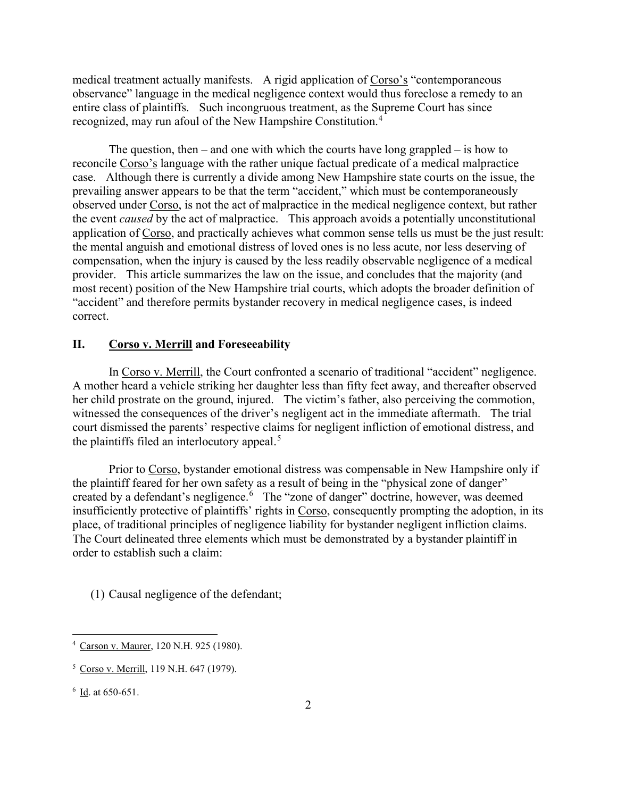medical treatment actually manifests. A rigid application of Corso's "contemporaneous observance" language in the medical negligence context would thus foreclose a remedy to an entire class of plaintiffs. Such incongruous treatment, as the Supreme Court has since recognized, may run afoul of the New Hampshire Constitution.<sup>[4](#page-1-0)</sup>

The question, then – and one with which the courts have long grappled – is how to reconcile Corso's language with the rather unique factual predicate of a medical malpractice case. Although there is currently a divide among New Hampshire state courts on the issue, the prevailing answer appears to be that the term "accident," which must be contemporaneously observed under Corso, is not the act of malpractice in the medical negligence context, but rather the event *caused* by the act of malpractice. This approach avoids a potentially unconstitutional application of Corso, and practically achieves what common sense tells us must be the just result: the mental anguish and emotional distress of loved ones is no less acute, nor less deserving of compensation, when the injury is caused by the less readily observable negligence of a medical provider. This article summarizes the law on the issue, and concludes that the majority (and most recent) position of the New Hampshire trial courts, which adopts the broader definition of "accident" and therefore permits bystander recovery in medical negligence cases, is indeed correct.

#### **II. Corso v. Merrill and Foreseeability**

In Corso v. Merrill, the Court confronted a scenario of traditional "accident" negligence. A mother heard a vehicle striking her daughter less than fifty feet away, and thereafter observed her child prostrate on the ground, injured. The victim's father, also perceiving the commotion, witnessed the consequences of the driver's negligent act in the immediate aftermath. The trial court dismissed the parents' respective claims for negligent infliction of emotional distress, and the plaintiffs filed an interlocutory appeal. $5$ 

Prior to Corso, bystander emotional distress was compensable in New Hampshire only if the plaintiff feared for her own safety as a result of being in the "physical zone of danger" created by a defendant's negligence. [6](#page-1-2) The "zone of danger" doctrine, however, was deemed insufficiently protective of plaintiffs' rights in Corso, consequently prompting the adoption, in its place, of traditional principles of negligence liability for bystander negligent infliction claims. The Court delineated three elements which must be demonstrated by a bystander plaintiff in order to establish such a claim:

(1) Causal negligence of the defendant;

<span id="page-1-0"></span><sup>4</sup> Carson v. Maurer, 120 N.H. 925 (1980).

<span id="page-1-1"></span><sup>5</sup> Corso v. Merrill, 119 N.H. 647 (1979).

<span id="page-1-2"></span> $6$   $\underline{\text{Id}}$ . at 650-651.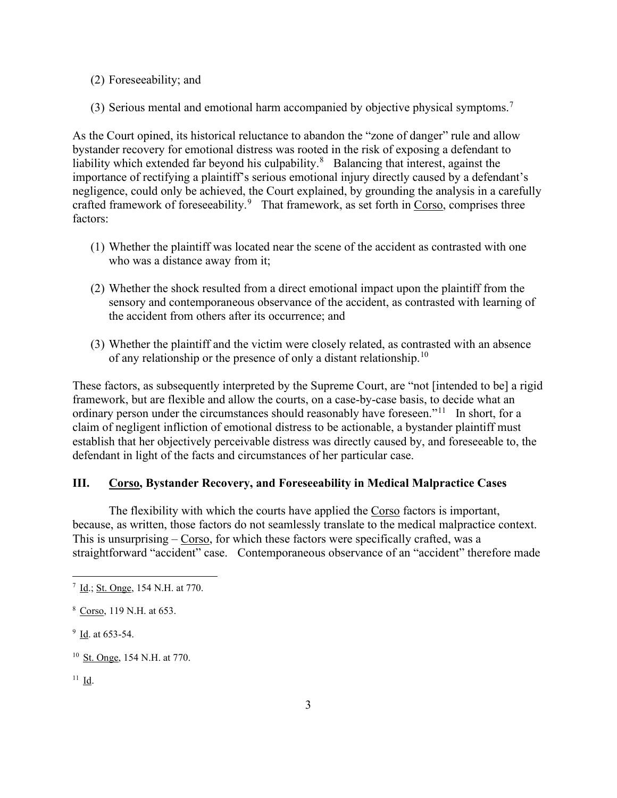- (2) Foreseeability; and
- (3) Serious mental and emotional harm accompanied by objective physical symptoms.<sup>[7](#page-2-0)</sup>

As the Court opined, its historical reluctance to abandon the "zone of danger" rule and allow bystander recovery for emotional distress was rooted in the risk of exposing a defendant to liability which extended far beyond his culpability. $8$  Balancing that interest, against the importance of rectifying a plaintiff's serious emotional injury directly caused by a defendant's negligence, could only be achieved, the Court explained, by grounding the analysis in a carefully crafted framework of foreseeability.<sup>[9](#page-2-2)</sup> That framework, as set forth in Corso, comprises three factors:

- (1) Whether the plaintiff was located near the scene of the accident as contrasted with one who was a distance away from it;
- (2) Whether the shock resulted from a direct emotional impact upon the plaintiff from the sensory and contemporaneous observance of the accident, as contrasted with learning of the accident from others after its occurrence; and
- (3) Whether the plaintiff and the victim were closely related, as contrasted with an absence of any relationship or the presence of only a distant relationship.<sup>[10](#page-2-3)</sup>

These factors, as subsequently interpreted by the Supreme Court, are "not [intended to be] a rigid framework, but are flexible and allow the courts, on a case-by-case basis, to decide what an ordinary person under the circumstances should reasonably have foreseen."<sup>[11](#page-2-4)</sup> In short, for a claim of negligent infliction of emotional distress to be actionable, a bystander plaintiff must establish that her objectively perceivable distress was directly caused by, and foreseeable to, the defendant in light of the facts and circumstances of her particular case.

### **III. Corso, Bystander Recovery, and Foreseeability in Medical Malpractice Cases**

The flexibility with which the courts have applied the Corso factors is important, because, as written, those factors do not seamlessly translate to the medical malpractice context. This is unsurprising – Corso, for which these factors were specifically crafted, was a straightforward "accident" case. Contemporaneous observance of an "accident" therefore made

<span id="page-2-0"></span><sup>&</sup>lt;sup>7</sup> Id.; St. Onge, 154 N.H. at 770.

<span id="page-2-1"></span><sup>8</sup> Corso, 119 N.H. at 653.

<span id="page-2-2"></span> $9$   $\underline{\text{Id}}$ . at 653-54.

<span id="page-2-3"></span><sup>10</sup> St. Onge, 154 N.H. at 770.

<span id="page-2-4"></span><sup>11</sup> Id.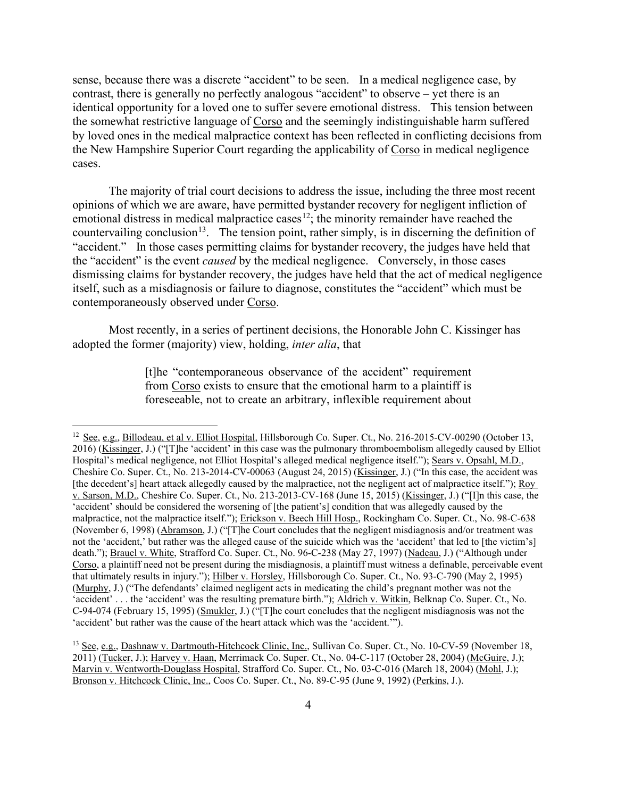sense, because there was a discrete "accident" to be seen. In a medical negligence case, by contrast, there is generally no perfectly analogous "accident" to observe – yet there is an identical opportunity for a loved one to suffer severe emotional distress. This tension between the somewhat restrictive language of Corso and the seemingly indistinguishable harm suffered by loved ones in the medical malpractice context has been reflected in conflicting decisions from the New Hampshire Superior Court regarding the applicability of Corso in medical negligence cases.

The majority of trial court decisions to address the issue, including the three most recent opinions of which we are aware, have permitted bystander recovery for negligent infliction of emotional distress in medical malpractice cases<sup>[12](#page-3-0)</sup>; the minority remainder have reached the countervailing conclusion<sup>[13](#page-3-1)</sup>. The tension point, rather simply, is in discerning the definition of "accident." In those cases permitting claims for bystander recovery, the judges have held that the "accident" is the event *caused* by the medical negligence. Conversely, in those cases dismissing claims for bystander recovery, the judges have held that the act of medical negligence itself, such as a misdiagnosis or failure to diagnose, constitutes the "accident" which must be contemporaneously observed under Corso.

Most recently, in a series of pertinent decisions, the Honorable John C. Kissinger has adopted the former (majority) view, holding, *inter alia*, that

> [t]he "contemporaneous observance of the accident" requirement from Corso exists to ensure that the emotional harm to a plaintiff is foreseeable, not to create an arbitrary, inflexible requirement about

<span id="page-3-0"></span><sup>&</sup>lt;sup>12</sup> See, e.g., Billodeau, et al v. Elliot Hospital, Hillsborough Co. Super. Ct., No. 216-2015-CV-00290 (October 13, 2016) (Kissinger, J.) ("[T]he 'accident' in this case was the pulmonary thromboembolism allegedly caused by Elliot Hospital's medical negligence, not Elliot Hospital's alleged medical negligence itself."); Sears v. Opsahl, M.D., Cheshire Co. Super. Ct., No. 213-2014-CV-00063 (August 24, 2015) (Kissinger, J.) ("In this case, the accident was [the decedent's] heart attack allegedly caused by the malpractice, not the negligent act of malpractice itself."); Roy v. Sarson, M.D., Cheshire Co. Super. Ct., No. 213-2013-CV-168 (June 15, 2015) (Kissinger, J.) ("[I]n this case, the 'accident' should be considered the worsening of [the patient's] condition that was allegedly caused by the malpractice, not the malpractice itself."); Erickson v. Beech Hill Hosp., Rockingham Co. Super. Ct., No. 98-C-638 (November 6, 1998) (Abramson, J.) ("[T]he Court concludes that the negligent misdiagnosis and/or treatment was not the 'accident,' but rather was the alleged cause of the suicide which was the 'accident' that led to [the victim's] death."); Brauel v. White, Strafford Co. Super. Ct., No. 96-C-238 (May 27, 1997) (Nadeau, J.) ("Although under Corso, a plaintiff need not be present during the misdiagnosis, a plaintiff must witness a definable, perceivable event that ultimately results in injury."); Hilber v. Horsley, Hillsborough Co. Super. Ct., No. 93-C-790 (May 2, 1995) (Murphy, J.) ("The defendants' claimed negligent acts in medicating the child's pregnant mother was not the 'accident' . . . the 'accident' was the resulting premature birth."); Aldrich v. Witkin, Belknap Co. Super. Ct., No. C-94-074 (February 15, 1995) (Smukler, J.) ("[T]he court concludes that the negligent misdiagnosis was not the 'accident' but rather was the cause of the heart attack which was the 'accident.'").

<span id="page-3-1"></span><sup>&</sup>lt;sup>13</sup> See, e.g., Dashnaw v. Dartmouth-Hitchcock Clinic, Inc., Sullivan Co. Super. Ct., No. 10-CV-59 (November 18, 2011) (Tucker, J.); Harvey v. Haan, Merrimack Co. Super. Ct., No. 04-C-117 (October 28, 2004) (McGuire, J.); Marvin v. Wentworth-Douglass Hospital, Strafford Co. Super. Ct., No. 03-C-016 (March 18, 2004) (Mohl, J.); Bronson v. Hitchcock Clinic, Inc., Coos Co. Super. Ct., No. 89-C-95 (June 9, 1992) (Perkins, J.).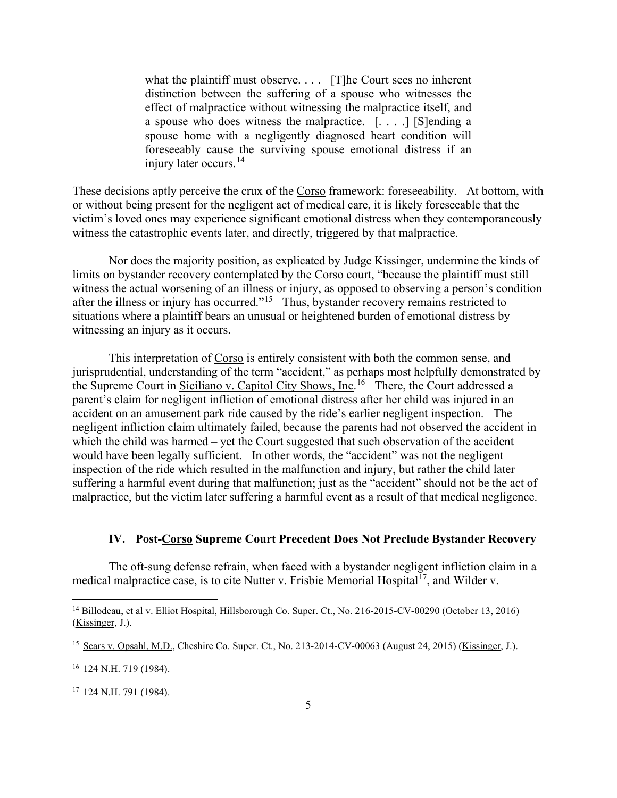what the plaintiff must observe. . . . [T]he Court sees no inherent distinction between the suffering of a spouse who witnesses the effect of malpractice without witnessing the malpractice itself, and a spouse who does witness the malpractice. [. . . .] [S]ending a spouse home with a negligently diagnosed heart condition will foreseeably cause the surviving spouse emotional distress if an injury later occurs.<sup>[14](#page-4-0)</sup>

These decisions aptly perceive the crux of the Corso framework: foreseeability. At bottom, with or without being present for the negligent act of medical care, it is likely foreseeable that the victim's loved ones may experience significant emotional distress when they contemporaneously witness the catastrophic events later, and directly, triggered by that malpractice.

Nor does the majority position, as explicated by Judge Kissinger, undermine the kinds of limits on bystander recovery contemplated by the Corso court, "because the plaintiff must still witness the actual worsening of an illness or injury, as opposed to observing a person's condition after the illness or injury has occurred."<sup>[15](#page-4-1)</sup> Thus, bystander recovery remains restricted to situations where a plaintiff bears an unusual or heightened burden of emotional distress by witnessing an injury as it occurs.

This interpretation of Corso is entirely consistent with both the common sense, and jurisprudential, understanding of the term "accident," as perhaps most helpfully demonstrated by the Supreme Court in Siciliano v. Capitol City Shows, Inc.<sup>[16](#page-4-2)</sup> There, the Court addressed a parent's claim for negligent infliction of emotional distress after her child was injured in an accident on an amusement park ride caused by the ride's earlier negligent inspection. The negligent infliction claim ultimately failed, because the parents had not observed the accident in which the child was harmed – yet the Court suggested that such observation of the accident would have been legally sufficient. In other words, the "accident" was not the negligent inspection of the ride which resulted in the malfunction and injury, but rather the child later suffering a harmful event during that malfunction; just as the "accident" should not be the act of malpractice, but the victim later suffering a harmful event as a result of that medical negligence.

#### **IV. Post-Corso Supreme Court Precedent Does Not Preclude Bystander Recovery**

The oft-sung defense refrain, when faced with a bystander negligent infliction claim in a medical malpractice case, is to cite Nutter v. Frisbie Memorial Hospital<sup>[17](#page-4-3)</sup>, and Wilder v.

<span id="page-4-0"></span><sup>&</sup>lt;sup>14</sup> Billodeau, et al v. Elliot Hospital, Hillsborough Co. Super. Ct., No. 216-2015-CV-00290 (October 13, 2016) (Kissinger, J.).

<span id="page-4-1"></span><sup>15</sup> Sears v. Opsahl, M.D., Cheshire Co. Super. Ct., No. 213-2014-CV-00063 (August 24, 2015) (Kissinger, J.).

<span id="page-4-2"></span><sup>16</sup> 124 N.H. 719 (1984).

<span id="page-4-3"></span> $17$  124 N.H. 791 (1984).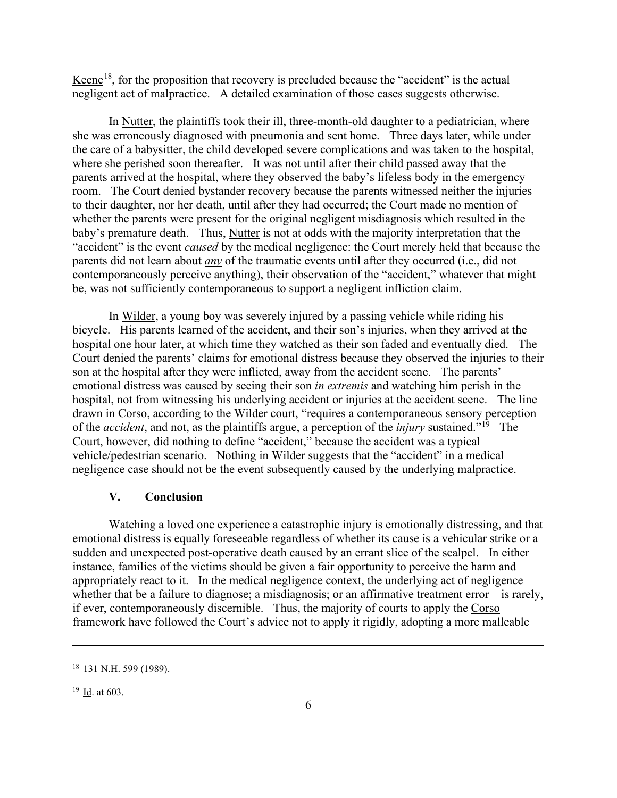Keene<sup>[18](#page-5-0)</sup>, for the proposition that recovery is precluded because the "accident" is the actual negligent act of malpractice. A detailed examination of those cases suggests otherwise.

In Nutter, the plaintiffs took their ill, three-month-old daughter to a pediatrician, where she was erroneously diagnosed with pneumonia and sent home. Three days later, while under the care of a babysitter, the child developed severe complications and was taken to the hospital, where she perished soon thereafter. It was not until after their child passed away that the parents arrived at the hospital, where they observed the baby's lifeless body in the emergency room. The Court denied bystander recovery because the parents witnessed neither the injuries to their daughter, nor her death, until after they had occurred; the Court made no mention of whether the parents were present for the original negligent misdiagnosis which resulted in the baby's premature death. Thus, Nutter is not at odds with the majority interpretation that the "accident" is the event *caused* by the medical negligence: the Court merely held that because the parents did not learn about *any* of the traumatic events until after they occurred (i.e., did not contemporaneously perceive anything), their observation of the "accident," whatever that might be, was not sufficiently contemporaneous to support a negligent infliction claim.

In Wilder, a young boy was severely injured by a passing vehicle while riding his bicycle. His parents learned of the accident, and their son's injuries, when they arrived at the hospital one hour later, at which time they watched as their son faded and eventually died. The Court denied the parents' claims for emotional distress because they observed the injuries to their son at the hospital after they were inflicted, away from the accident scene. The parents' emotional distress was caused by seeing their son *in extremis* and watching him perish in the hospital, not from witnessing his underlying accident or injuries at the accident scene. The line drawn in Corso, according to the Wilder court, "requires a contemporaneous sensory perception of the *accident*, and not, as the plaintiffs argue, a perception of the *injury* sustained."[19](#page-5-1) The Court, however, did nothing to define "accident," because the accident was a typical vehicle/pedestrian scenario. Nothing in Wilder suggests that the "accident" in a medical negligence case should not be the event subsequently caused by the underlying malpractice.

## **V. Conclusion**

Watching a loved one experience a catastrophic injury is emotionally distressing, and that emotional distress is equally foreseeable regardless of whether its cause is a vehicular strike or a sudden and unexpected post-operative death caused by an errant slice of the scalpel. In either instance, families of the victims should be given a fair opportunity to perceive the harm and appropriately react to it. In the medical negligence context, the underlying act of negligence – whether that be a failure to diagnose; a misdiagnosis; or an affirmative treatment error – is rarely, if ever, contemporaneously discernible. Thus, the majority of courts to apply the Corso framework have followed the Court's advice not to apply it rigidly, adopting a more malleable

<span id="page-5-0"></span><sup>18</sup> 131 N.H. 599 (1989).

<span id="page-5-1"></span> $19$  Id. at 603.